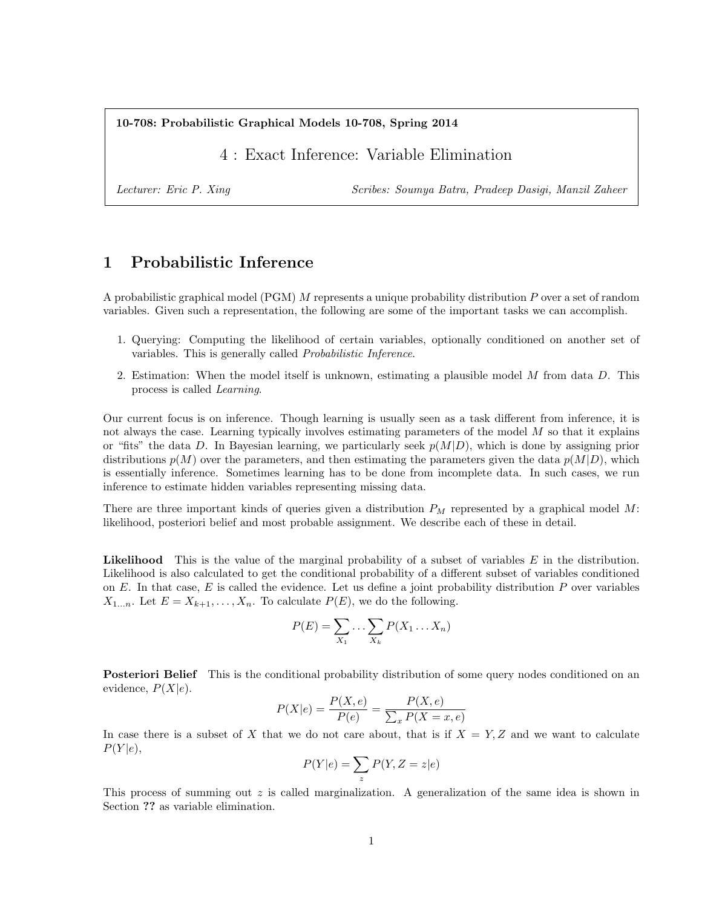#### 10-708: Probabilistic Graphical Models 10-708, Spring 2014

# 4 : Exact Inference: Variable Elimination

*Lecturer: Eric P. Xing Scribes: Soumya Batra, Pradeep Dasigi, Manzil Zaheer*

# 1 Probabilistic Inference

A probabilistic graphical model (PGM) *M* represents a unique probability distribution *P* over a set of random variables. Given such a representation, the following are some of the important tasks we can accomplish.

- 1. Querying: Computing the likelihood of certain variables, optionally conditioned on another set of variables. This is generally called *Probabilistic Inference*.
- 2. Estimation: When the model itself is unknown, estimating a plausible model *M* from data *D*. This process is called *Learning*.

Our current focus is on inference. Though learning is usually seen as a task different from inference, it is not always the case. Learning typically involves estimating parameters of the model *M* so that it explains or "fits" the data *D*. In Bayesian learning, we particularly seek *p*(*M|D*), which is done by assigning prior distributions  $p(M)$  over the parameters, and then estimating the parameters given the data  $p(M|D)$ , which is essentially inference. Sometimes learning has to be done from incomplete data. In such cases, we run inference to estimate hidden variables representing missing data.

There are three important kinds of queries given a distribution *P<sup>M</sup>* represented by a graphical model *M*: likelihood, posteriori belief and most probable assignment. We describe each of these in detail.

Likelihood This is the value of the marginal probability of a subset of variables *E* in the distribution. Likelihood is also calculated to get the conditional probability of a different subset of variables conditioned on  $E$ . In that case,  $E$  is called the evidence. Let us define a joint probability distribution  $P$  over variables  $X_{1...n}$ . Let  $E = X_{k+1}, \ldots, X_n$ . To calculate  $P(E)$ , we do the following.

$$
P(E) = \sum_{X_1} \dots \sum_{X_k} P(X_1 \dots X_n)
$$

**Posteriori Belief** This is the conditional probability distribution of some query nodes conditioned on an evidence,  $P(X|e)$ .

$$
P(X|e) = \frac{P(X, e)}{P(e)} = \frac{P(X, e)}{\sum_{x} P(X = x, e)}
$$

In case there is a subset of X that we do not care about, that is if  $X = Y, Z$  and we want to calculate  $P(Y|e)$ ,

$$
P(Y|e) = \sum_z P(Y, Z=z|e)
$$

This process of summing out *z* is called marginalization. A generalization of the same idea is shown in Section ?? as variable elimination.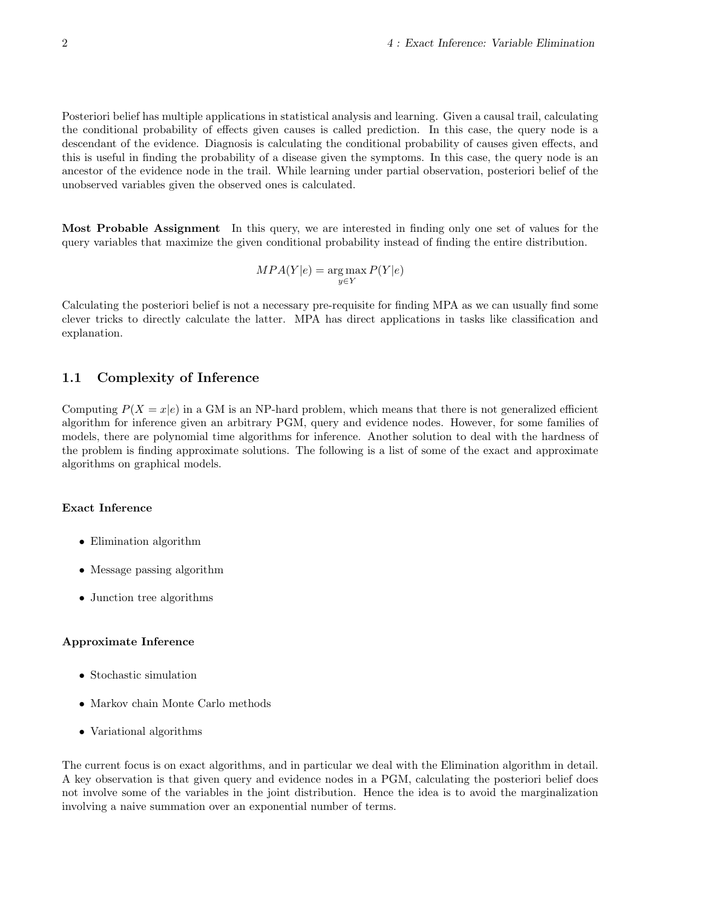Posteriori belief has multiple applications in statistical analysis and learning. Given a causal trail, calculating the conditional probability of effects given causes is called prediction. In this case, the query node is a descendant of the evidence. Diagnosis is calculating the conditional probability of causes given effects, and this is useful in finding the probability of a disease given the symptoms. In this case, the query node is an ancestor of the evidence node in the trail. While learning under partial observation, posteriori belief of the unobserved variables given the observed ones is calculated.

Most Probable Assignment In this query, we are interested in finding only one set of values for the query variables that maximize the given conditional probability instead of finding the entire distribution.

$$
MPA(Y|e) = \underset{y \in Y}{\arg \max} P(Y|e)
$$

Calculating the posteriori belief is not a necessary pre-requisite for finding MPA as we can usually find some clever tricks to directly calculate the latter. MPA has direct applications in tasks like classification and explanation.

### 1.1 Complexity of Inference

Computing  $P(X = x|e)$  in a GM is an NP-hard problem, which means that there is not generalized efficient algorithm for inference given an arbitrary PGM, query and evidence nodes. However, for some families of models, there are polynomial time algorithms for inference. Another solution to deal with the hardness of the problem is finding approximate solutions. The following is a list of some of the exact and approximate algorithms on graphical models.

#### Exact Inference

- *•* Elimination algorithm
- *•* Message passing algorithm
- *•* Junction tree algorithms

#### Approximate Inference

- *•* Stochastic simulation
- Markov chain Monte Carlo methods
- *•* Variational algorithms

The current focus is on exact algorithms, and in particular we deal with the Elimination algorithm in detail. A key observation is that given query and evidence nodes in a PGM, calculating the posteriori belief does not involve some of the variables in the joint distribution. Hence the idea is to avoid the marginalization involving a naive summation over an exponential number of terms.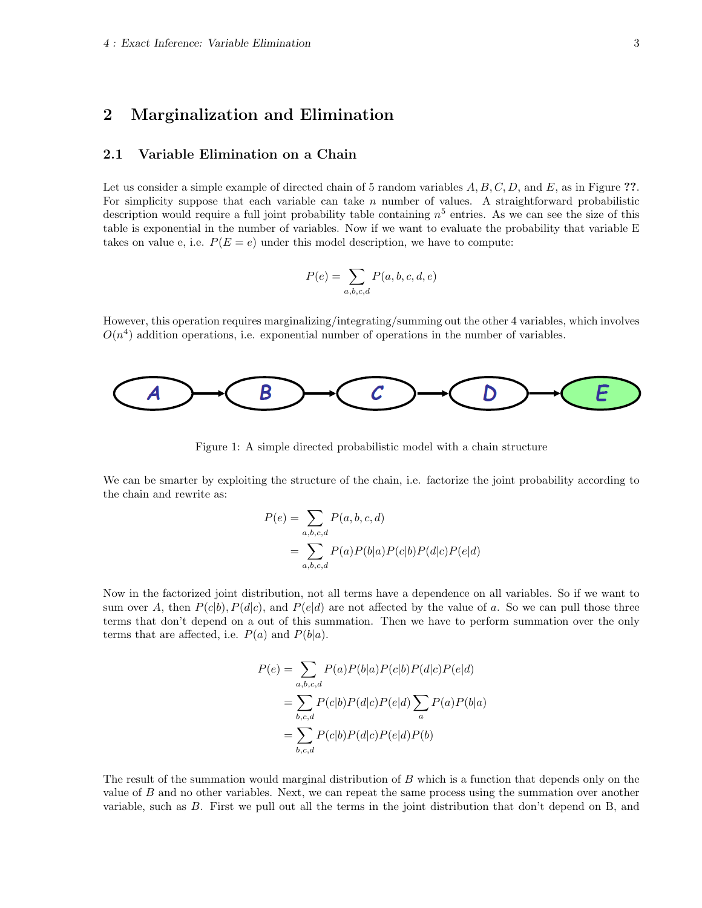# 2 Marginalization and Elimination

### 2.1 Variable Elimination on a Chain

Let us consider a simple example of directed chain of 5 random variables *A, B, C, D,* and *E*, as in Figure ??. For simplicity suppose that each variable can take *n* number of values. A straightforward probabilistic description would require a full joint probability table containing *n*<sup>5</sup> entries. As we can see the size of this table is exponential in the number of variables. Now if we want to evaluate the probability that variable E takes on value e, i.e.  $P(E = e)$  under this model description, we have to compute:

$$
P(e) = \sum_{a,b,c,d} P(a,b,c,d,e)
$$

However, this operation requires marginalizing/integrating/summing out the other 4 variables, which involves  $O(n<sup>4</sup>)$  addition operations, i.e. exponential number of operations in the number of variables.



Figure 1: A simple directed probabilistic model with a chain structure

We can be smarter by exploiting the structure of the chain, i.e. factorize the joint probability according to the chain and rewrite as:

$$
P(e) = \sum_{a,b,c,d} P(a,b,c,d)
$$
  
= 
$$
\sum_{a,b,c,d} P(a)P(b|a)P(c|b)P(d|c)P(e|d)
$$

Now in the factorized joint distribution, not all terms have a dependence on all variables. So if we want to sum over A, then  $P(c|b)$ ,  $P(d|c)$ , and  $P(e|d)$  are not affected by the value of a. So we can pull those three terms that don't depend on a out of this summation. Then we have to perform summation over the only terms that are affected, i.e.  $P(a)$  and  $P(b|a)$ .

$$
P(e) = \sum_{a,b,c,d} P(a)P(b|a)P(c|b)P(d|c)P(e|d)
$$
  
= 
$$
\sum_{b,c,d} P(c|b)P(d|c)P(e|d) \sum_{a} P(a)P(b|a)
$$
  
= 
$$
\sum_{b,c,d} P(c|b)P(d|c)P(e|d)P(b)
$$

The result of the summation would marginal distribution of *B* which is a function that depends only on the value of *B* and no other variables. Next, we can repeat the same process using the summation over another variable, such as *B*. First we pull out all the terms in the joint distribution that don't depend on B, and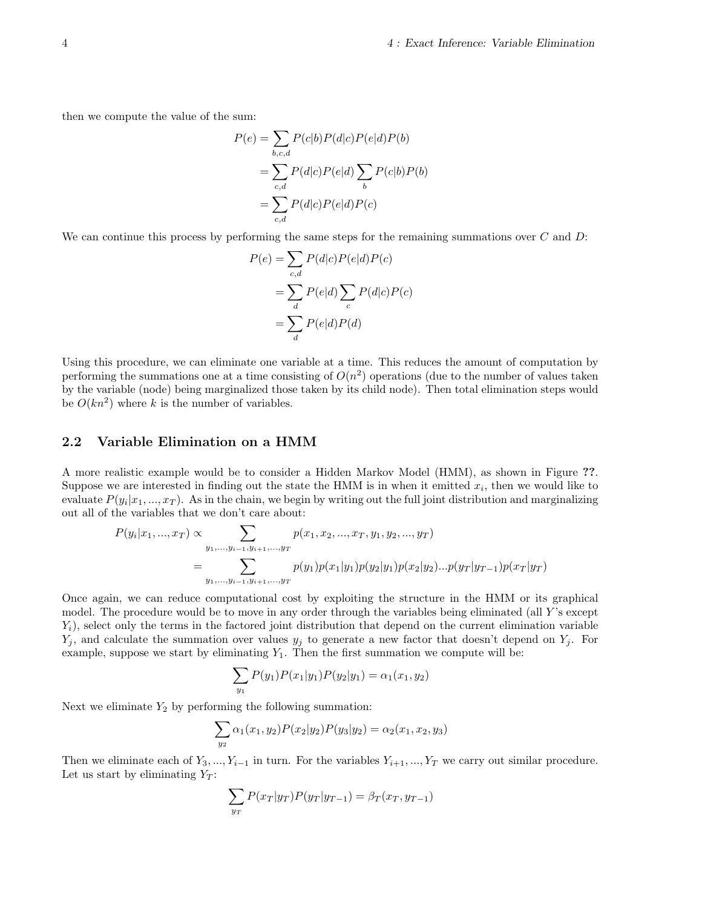then we compute the value of the sum:

$$
P(e) = \sum_{b,c,d} P(c|b)P(d|c)P(e|d)P(b)
$$
  
= 
$$
\sum_{c,d} P(d|c)P(e|d) \sum_{b} P(c|b)P(b)
$$
  
= 
$$
\sum_{c,d} P(d|c)P(e|d)P(c)
$$

We can continue this process by performing the same steps for the remaining summations over *C* and *D*:

$$
P(e) = \sum_{c,d} P(d|c)P(e|d)P(c)
$$
  
= 
$$
\sum_{d} P(e|d) \sum_{c} P(d|c)P(c)
$$
  
= 
$$
\sum_{d} P(e|d)P(d)
$$

Using this procedure, we can eliminate one variable at a time. This reduces the amount of computation by performing the summations one at a time consisting of  $O(n^2)$  operations (due to the number of values taken by the variable (node) being marginalized those taken by its child node). Then total elimination steps would be  $O(kn^2)$  where k is the number of variables.

### 2.2 Variable Elimination on a HMM

A more realistic example would be to consider a Hidden Markov Model (HMM), as shown in Figure ??. Suppose we are interested in finding out the state the HMM is in when it emitted  $x_i$ , then we would like to evaluate  $P(y_i|x_1, ..., x_T)$ . As in the chain, we begin by writing out the full joint distribution and marginalizing out all of the variables that we don't care about:

$$
P(y_i|x_1,...,x_T) \propto \sum_{y_1,...,y_{i-1},y_{i+1},...,y_T} p(x_1, x_2,...,x_T, y_1, y_2,...,y_T)
$$
  
= 
$$
\sum_{y_1,...,y_{i-1},y_{i+1},...,y_T} p(y_1)p(x_1|y_1)p(y_2|y_1)p(x_2|y_2)...p(y_T|y_{T-1})p(x_T|y_T)
$$

Once again, we can reduce computational cost by exploiting the structure in the HMM or its graphical model. The procedure would be to move in any order through the variables being eliminated (all *Y* 's except *Yi*), select only the terms in the factored joint distribution that depend on the current elimination variable *Y<sup>j</sup>* , and calculate the summation over values *y<sup>j</sup>* to generate a new factor that doesn't depend on *Y<sup>j</sup>* . For example, suppose we start by eliminating  $Y_1$ . Then the first summation we compute will be:

$$
\sum_{y_1} P(y_1) P(x_1|y_1) P(y_2|y_1) = \alpha_1(x_1, y_2)
$$

Next we eliminate  $Y_2$  by performing the following summation:

$$
\sum_{y_2} \alpha_1(x_1, y_2) P(x_2|y_2) P(y_3|y_2) = \alpha_2(x_1, x_2, y_3)
$$

Then we eliminate each of  $Y_3, ..., Y_{i-1}$  in turn. For the variables  $Y_{i+1}, ..., Y_T$  we carry out similar procedure. Let us start by eliminating  $Y_T$ :

$$
\sum_{y_T} P(x_T|y_T)P(y_T|y_{T-1}) = \beta_T(x_T, y_{T-1})
$$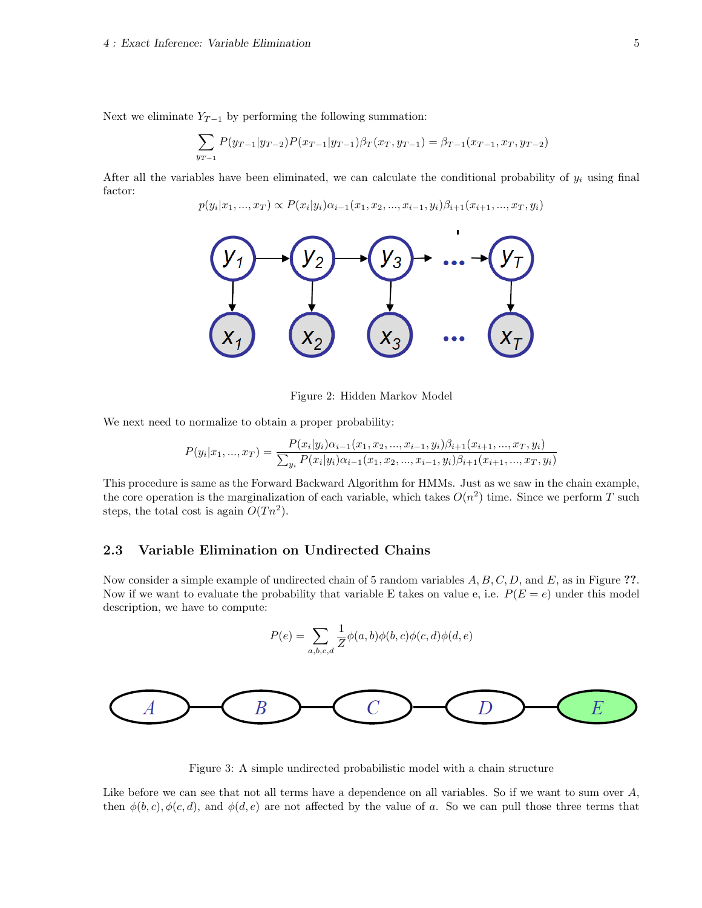Next we eliminate  $Y_{T-1}$  by performing the following summation:

$$
\sum_{y_{T-1}} P(y_{T-1}|y_{T-2}) P(x_{T-1}|y_{T-1}) \beta_T(x_T, y_{T-1}) = \beta_{T-1}(x_{T-1}, x_T, y_{T-2})
$$

After all the variables have been eliminated, we can calculate the conditional probability of *y<sup>i</sup>* using final factor:

 $p(y_i|x_1,...,x_T) \propto P(x_i|y_i)\alpha_{i-1}(x_1,x_2,...,x_{i-1},y_i)\beta_{i+1}(x_{i+1},...,x_T,y_i)$ 



Figure 2: Hidden Markov Model

We next need to normalize to obtain a proper probability:

$$
P(y_i|x_1,...,x_T) = \frac{P(x_i|y_i)\alpha_{i-1}(x_1,x_2,...,x_{i-1},y_i)\beta_{i+1}(x_{i+1},...,x_T,y_i)}{\sum_{y_i} P(x_i|y_i)\alpha_{i-1}(x_1,x_2,...,x_{i-1},y_i)\beta_{i+1}(x_{i+1},...,x_T,y_i)}
$$

This procedure is same as the Forward Backward Algorithm for HMMs. Just as we saw in the chain example, the core operation is the marginalization of each variable, which takes  $O(n^2)$  time. Since we perform *T* such steps, the total cost is again  $O(Tn^2)$ .

### 2.3 Variable Elimination on Undirected Chains

Now consider a simple example of undirected chain of 5 random variables *A, B, C, D,* and *E*, as in Figure ??. Now if we want to evaluate the probability that variable E takes on value e, i.e.  $P(E = e)$  under this model description, we have to compute:

$$
P(e) = \sum_{a,b,c,d} \frac{1}{Z} \phi(a,b) \phi(b,c) \phi(c,d) \phi(d,e)
$$

Figure 3: A simple undirected probabilistic model with a chain structure

Like before we can see that not all terms have a dependence on all variables. So if we want to sum over *A*, then  $\phi(b, c), \phi(c, d)$ , and  $\phi(d, e)$  are not affected by the value of *a*. So we can pull those three terms that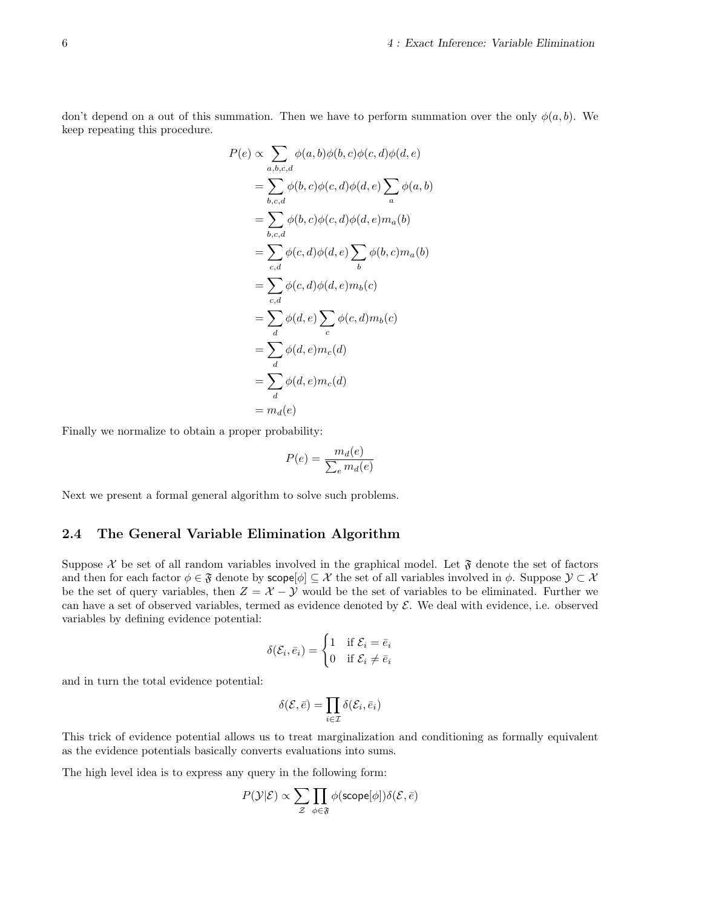don't depend on a out of this summation. Then we have to perform summation over the only  $\phi(a, b)$ . We keep repeating this procedure.

$$
P(e) \propto \sum_{a,b,c,d} \phi(a,b)\phi(b,c)\phi(c,d)\phi(d,e)
$$
  
= 
$$
\sum_{b,c,d} \phi(b,c)\phi(c,d)\phi(d,e) \sum_a \phi(a,b)
$$
  
= 
$$
\sum_{b,c,d} \phi(b,c)\phi(c,d)\phi(d,e)m_a(b)
$$
  
= 
$$
\sum_{c,d} \phi(c,d)\phi(d,e) \sum_b \phi(b,c)m_a(b)
$$
  
= 
$$
\sum_{c,d} \phi(c,d)\phi(d,e)m_b(c)
$$
  
= 
$$
\sum_{d} \phi(d,e) \sum_{c} \phi(c,d)m_b(c)
$$
  
= 
$$
\sum_{d} \phi(d,e)m_c(d)
$$
  
= 
$$
\sum_{d} \phi(d,e)m_c(d)
$$
  
= 
$$
m_d(e)
$$

Finally we normalize to obtain a proper probability:

$$
P(e) = \frac{m_d(e)}{\sum_e m_d(e)}
$$

Next we present a formal general algorithm to solve such problems.

## 2.4 The General Variable Elimination Algorithm

Suppose  $\mathcal X$  be set of all random variables involved in the graphical model. Let  $\mathfrak F$  denote the set of factors and then for each factor  $\phi \in \mathfrak{F}$  denote by scope  $[\phi] \subseteq \mathcal{X}$  the set of all variables involved in  $\phi$ . Suppose  $\mathcal{Y} \subset \mathcal{X}$ be the set of query variables, then  $Z = \mathcal{X} - \mathcal{Y}$  would be the set of variables to be eliminated. Further we can have a set of observed variables, termed as evidence denoted by *E*. We deal with evidence, i.e. observed variables by defining evidence potential:

$$
\delta(\mathcal{E}_i, \bar{e}_i) = \begin{cases} 1 & \text{if } \mathcal{E}_i = \bar{e}_i \\ 0 & \text{if } \mathcal{E}_i \neq \bar{e}_i \end{cases}
$$

and in turn the total evidence potential:

$$
\delta(\mathcal{E}, \bar{e}) = \prod_{i \in \mathcal{I}} \delta(\mathcal{E}_i, \bar{e}_i)
$$

This trick of evidence potential allows us to treat marginalization and conditioning as formally equivalent as the evidence potentials basically converts evaluations into sums.

The high level idea is to express any query in the following form:

$$
P(\mathcal{Y}|\mathcal{E}) \propto \sum_{\mathcal{Z}} \prod_{\phi \in \mathfrak{F}} \phi(\mathsf{scope}[\phi]) \delta(\mathcal{E}, \bar{e})
$$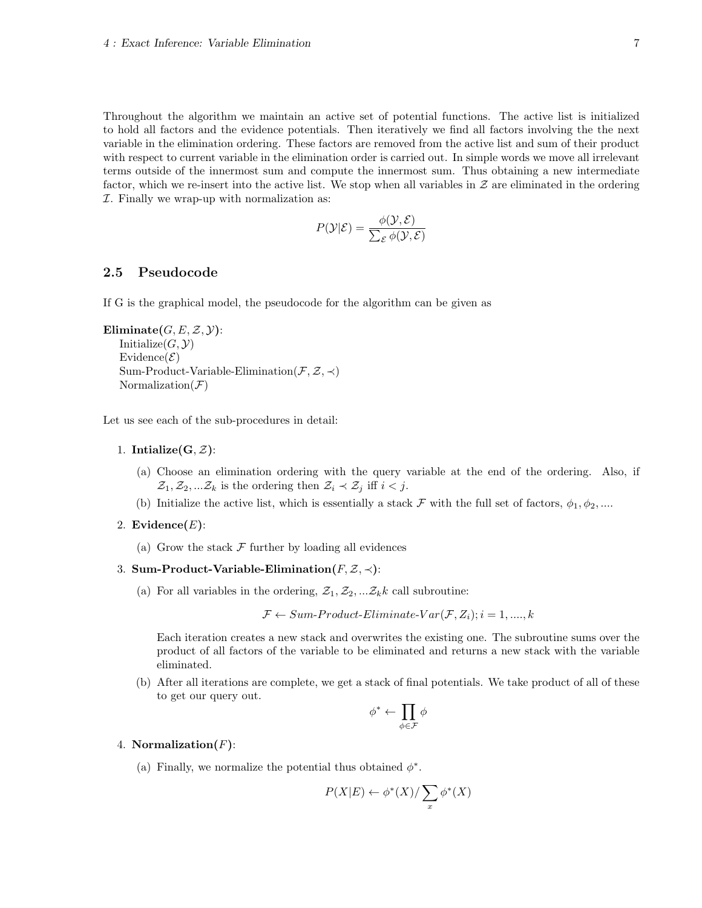Throughout the algorithm we maintain an active set of potential functions. The active list is initialized to hold all factors and the evidence potentials. Then iteratively we find all factors involving the the next variable in the elimination ordering. These factors are removed from the active list and sum of their product with respect to current variable in the elimination order is carried out. In simple words we move all irrelevant terms outside of the innermost sum and compute the innermost sum. Thus obtaining a new intermediate factor, which we re-insert into the active list. We stop when all variables in *Z* are eliminated in the ordering *I*. Finally we wrap-up with normalization as:

$$
P(\mathcal{Y}|\mathcal{E}) = \frac{\phi(\mathcal{Y}, \mathcal{E})}{\sum_{\mathcal{E}} \phi(\mathcal{Y}, \mathcal{E})}
$$

## 2.5 Pseudocode

If G is the graphical model, the pseudocode for the algorithm can be given as

```
Eliminate(G, E, \mathcal{Z}, \mathcal{Y}):
Initialize(G, Y)Evidence(\mathcal{E})
Sum-Product-Variable-Elimination(\mathcal{F}, \mathcal{Z}, \prec)
Normalization(F)
```
Let us see each of the sub-procedures in detail:

#### 1. Intialize $(G, \mathcal{Z})$ :

- (a) Choose an elimination ordering with the query variable at the end of the ordering. Also, if  $\mathcal{Z}_1, \mathcal{Z}_2, \ldots, \mathcal{Z}_k$  is the ordering then  $\mathcal{Z}_i \prec \mathcal{Z}_j$  iff  $i < j$ .
- (b) Initialize the active list, which is essentially a stack  $\mathcal F$  with the full set of factors,  $\phi_1, \phi_2, \dots$
- 2. Evidence(*E*):
	- (a) Grow the stack  $\mathcal F$  further by loading all evidences
- 3. Sum-Product-Variable-Elimination $(F, Z, \prec)$ :
	- (a) For all variables in the ordering,  $\mathcal{Z}_1, \mathcal{Z}_2, ... \mathcal{Z}_k k$  call subroutine:

 $\mathcal{F} \leftarrow Sum\text{-}Product\text{-}Eliminate\text{-}Var(\mathcal{F}, Z_i); i = 1, \dots, k$ 

Each iteration creates a new stack and overwrites the existing one. The subroutine sums over the product of all factors of the variable to be eliminated and returns a new stack with the variable eliminated.

(b) After all iterations are complete, we get a stack of final potentials. We take product of all of these to get our query out.

$$
\phi^* \leftarrow \prod_{\phi \in \mathcal{F}} \phi
$$

#### 4. Normalization(*F*):

(a) Finally, we normalize the potential thus obtained  $\phi^*$ .

$$
P(X|E) \leftarrow \phi^*(X) / \sum_x \phi^*(X)
$$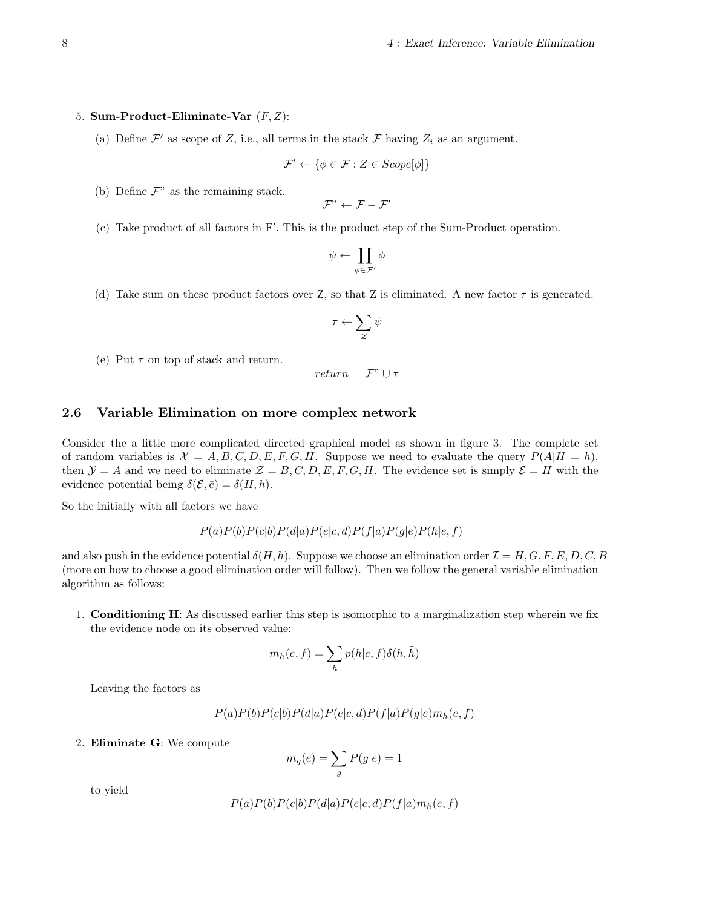#### 5. Sum-Product-Eliminate-Var (*F, Z*):

(a) Define  $\mathcal{F}'$  as scope of *Z*, i.e., all terms in the stack  $\mathcal{F}$  having  $Z_i$  as an argument.

$$
\mathcal{F}' \leftarrow \{ \phi \in \mathcal{F} : Z \in \mathit{Scope}[\phi] \}
$$

(b) Define  $\mathcal{F}$ " as the remaining stack.

 $F'' \leftarrow F - F'$ 

(c) Take product of all factors in F'. This is the product step of the Sum-Product operation.

$$
\psi \leftarrow \prod_{\phi \in \mathcal{F}'} \phi
$$

(d) Take sum on these product factors over Z, so that Z is eliminated. A new factor  $\tau$  is generated.

$$
\tau \leftarrow \sum_Z \psi
$$

(e) Put  $\tau$  on top of stack and return.

$$
return \quad \mathcal{F}" \cup \tau
$$

#### 2.6 Variable Elimination on more complex network

Consider the a little more complicated directed graphical model as shown in figure 3. The complete set of random variables is  $\mathcal{X} = A, B, C, D, E, F, G, H$ . Suppose we need to evaluate the query  $P(A|H = h)$ , then  $\mathcal{Y} = A$  and we need to eliminate  $\mathcal{Z} = B, C, D, E, F, G, H$ . The evidence set is simply  $\mathcal{E} = H$  with the evidence potential being  $\delta(\mathcal{E}, \bar{e}) = \delta(H, h)$ .

So the initially with all factors we have

$$
P(a)P(b)P(c|b)P(d|a)P(e|c,d)P(f|a)P(g|e)P(h|e,f)
$$

and also push in the evidence potential  $\delta(H, h)$ . Suppose we choose an elimination order  $\mathcal{I} = H, G, F, E, D, C, B$ (more on how to choose a good elimination order will follow). Then we follow the general variable elimination algorithm as follows:

1. Conditioning H: As discussed earlier this step is isomorphic to a marginalization step wherein we fix the evidence node on its observed value:

$$
m_h(e, f) = \sum_h p(h|e, f)\delta(h, \tilde{h})
$$

Leaving the factors as

$$
P(a)P(b)P(c|b)P(d|a)P(e|c,d)P(f|a)P(g|e)m_h(e,f)
$$

2. Eliminate G: We compute

$$
m_g(e) = \sum_g P(g|e) = 1
$$

to yield

$$
P(a)P(b)P(c|b)P(d|a)P(e|c,d)P(f|a)mh(e,f)
$$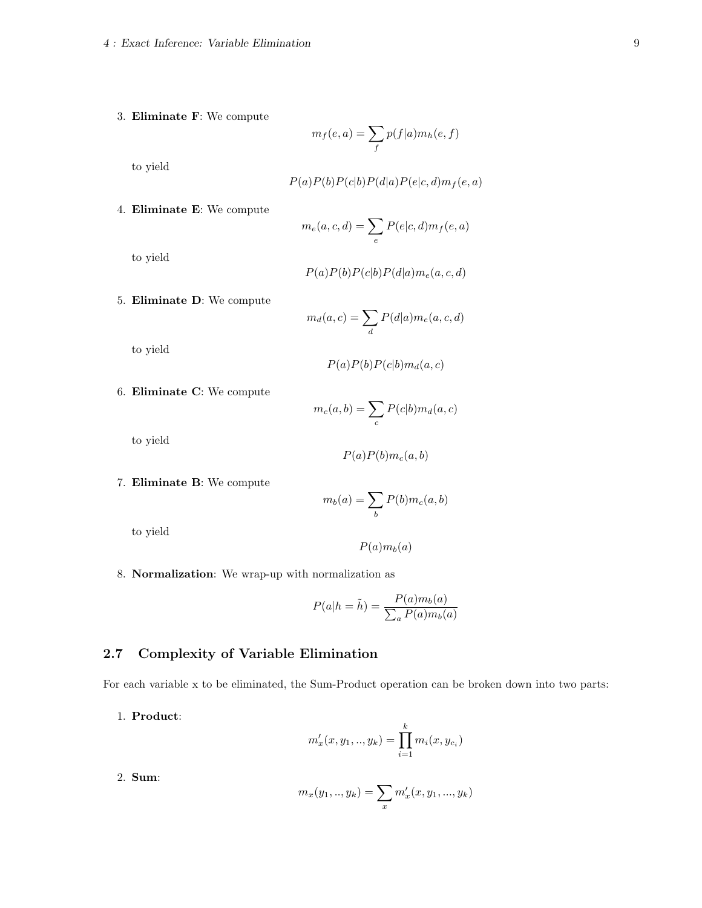3. Eliminate F: We compute

$$
m_f(e, a) = \sum_f p(f|a) m_h(e, f)
$$

to yield

$$
P(a)P(b)P(c|b)P(d|a)P(e|c,d)m_f(e,a)
$$

4. Eliminate E: We compute

$$
m_e(a, c, d) = \sum_e P(e|c, d)m_f(e, a)
$$

 $P(a)P(b)P(c|b)P(d|a) m_e(a, c, d)$ 

to yield

5. Eliminate D: We compute

$$
m_d(a,c) = \sum_d P(d|a) m_e(a,c,d)
$$

to yield

$$
P(a)P(b)P(c|b)m_d(a,c)
$$

6. Eliminate C: We compute

$$
m_c(a,b) = \sum_c P(c|b) m_d(a,c)
$$

 $P(a)P(b)m_c(a,b)$ 

to yield

7. Eliminate B: We compute

$$
m_b(a) = \sum_b P(b) m_c(a, b)
$$

 $P(a)m_b(a)$ 

to yield

8. Normalization: We wrap-up with normalization as

$$
P(a|h = \tilde{h}) = \frac{P(a)m_b(a)}{\sum_a P(a)m_b(a)}
$$

## 2.7 Complexity of Variable Elimination

For each variable x to be eliminated, the Sum-Product operation can be broken down into two parts:

1. Product:

$$
m'_{x}(x, y_1, ..., y_k) = \prod_{i=1}^{k} m_{i}(x, y_{c_i})
$$

2. Sum:

$$
m_x(y_1,..,y_k) = \sum_x m'_x(x,y_1,...,y_k)
$$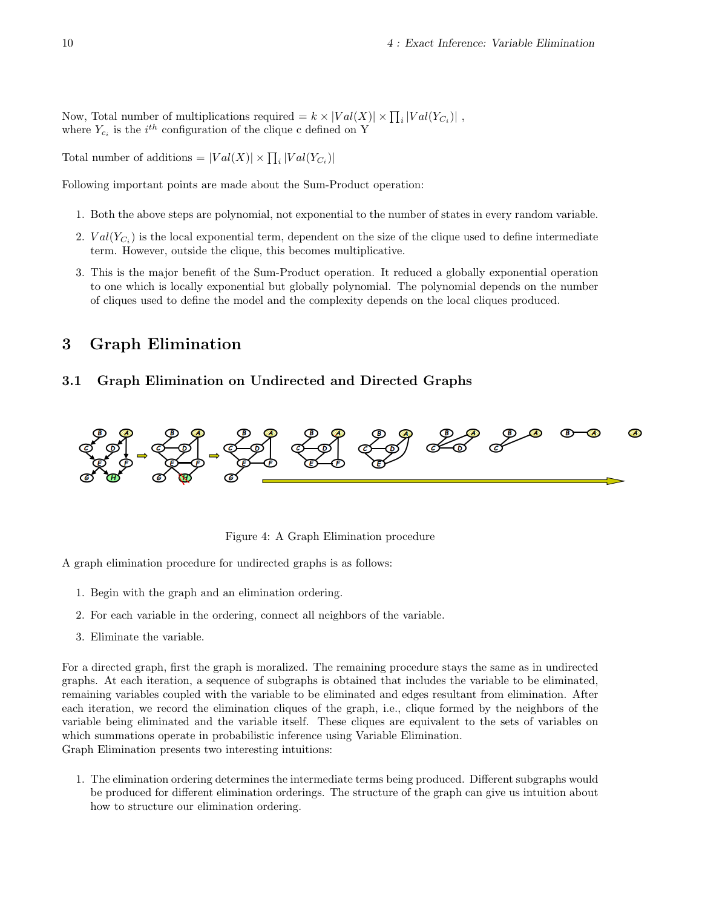Now, Total number of multiplications required =  $k \times |Val(X)| \times \prod_i |Val(Y_{C_i})|$ , where  $Y_{c_i}$  is the  $i^{th}$  configuration of the clique c defined on Y

Total number of additions =  $|Val(X)| \times \prod_i |Val(Y_{C_i})|$ 

Following important points are made about the Sum-Product operation:

- 1. Both the above steps are polynomial, not exponential to the number of states in every random variable.
- 2.  $Val(Y_{C_i})$  is the local exponential term, dependent on the size of the clique used to define intermediate term. However, outside the clique, this becomes multiplicative.
- 3. This is the major benefit of the Sum-Product operation. It reduced a globally exponential operation to one which is locally exponential but globally polynomial. The polynomial depends on the number of cliques used to define the model and the complexity depends on the local cliques produced.

# 3 Graph Elimination

### 3.1 Graph Elimination on Undirected and Directed Graphs



Figure 4: A Graph Elimination procedure

A graph elimination procedure for undirected graphs is as follows:

- 1. Begin with the graph and an elimination ordering.
- 2. For each variable in the ordering, connect all neighbors of the variable.
- 3. Eliminate the variable.

For a directed graph, first the graph is moralized. The remaining procedure stays the same as in undirected graphs. At each iteration, a sequence of subgraphs is obtained that includes the variable to be eliminated, remaining variables coupled with the variable to be eliminated and edges resultant from elimination. After each iteration, we record the elimination cliques of the graph, i.e., clique formed by the neighbors of the variable being eliminated and the variable itself. These cliques are equivalent to the sets of variables on which summations operate in probabilistic inference using Variable Elimination. Graph Elimination presents two interesting intuitions:

1. The elimination ordering determines the intermediate terms being produced. Different subgraphs would be produced for different elimination orderings. The structure of the graph can give us intuition about how to structure our elimination ordering.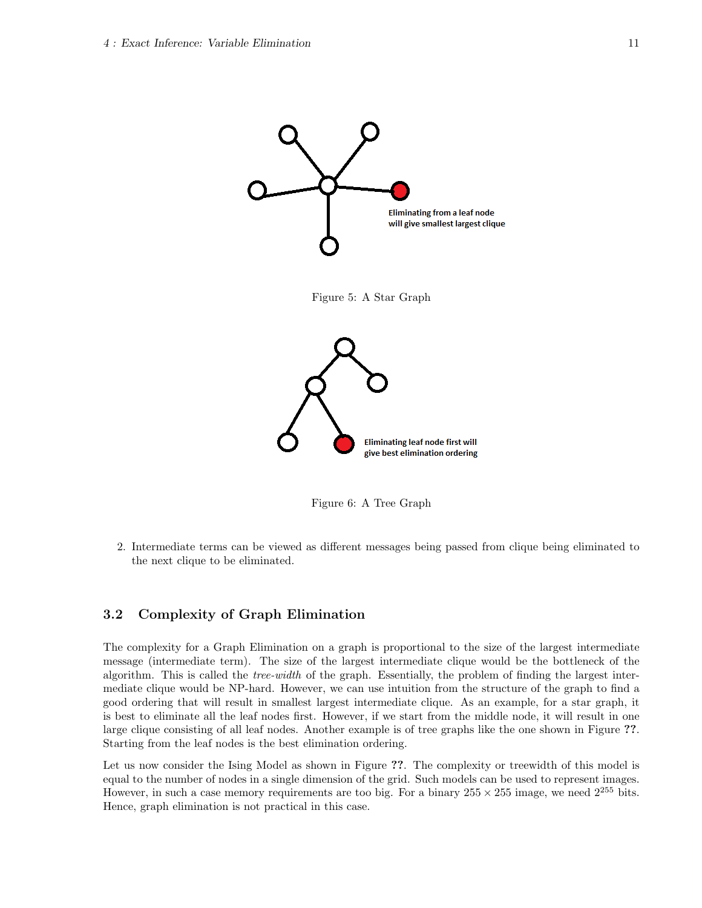

Figure 6: A Tree Graph

2. Intermediate terms can be viewed as different messages being passed from clique being eliminated to the next clique to be eliminated.

## 3.2 Complexity of Graph Elimination

The complexity for a Graph Elimination on a graph is proportional to the size of the largest intermediate message (intermediate term). The size of the largest intermediate clique would be the bottleneck of the algorithm. This is called the *tree-width* of the graph. Essentially, the problem of finding the largest intermediate clique would be NP-hard. However, we can use intuition from the structure of the graph to find a good ordering that will result in smallest largest intermediate clique. As an example, for a star graph, it is best to eliminate all the leaf nodes first. However, if we start from the middle node, it will result in one large clique consisting of all leaf nodes. Another example is of tree graphs like the one shown in Figure ??. Starting from the leaf nodes is the best elimination ordering.

Let us now consider the Ising Model as shown in Figure ??. The complexity or treewidth of this model is equal to the number of nodes in a single dimension of the grid. Such models can be used to represent images. However, in such a case memory requirements are too big. For a binary  $255 \times 255$  image, we need  $2^{255}$  bits. Hence, graph elimination is not practical in this case.